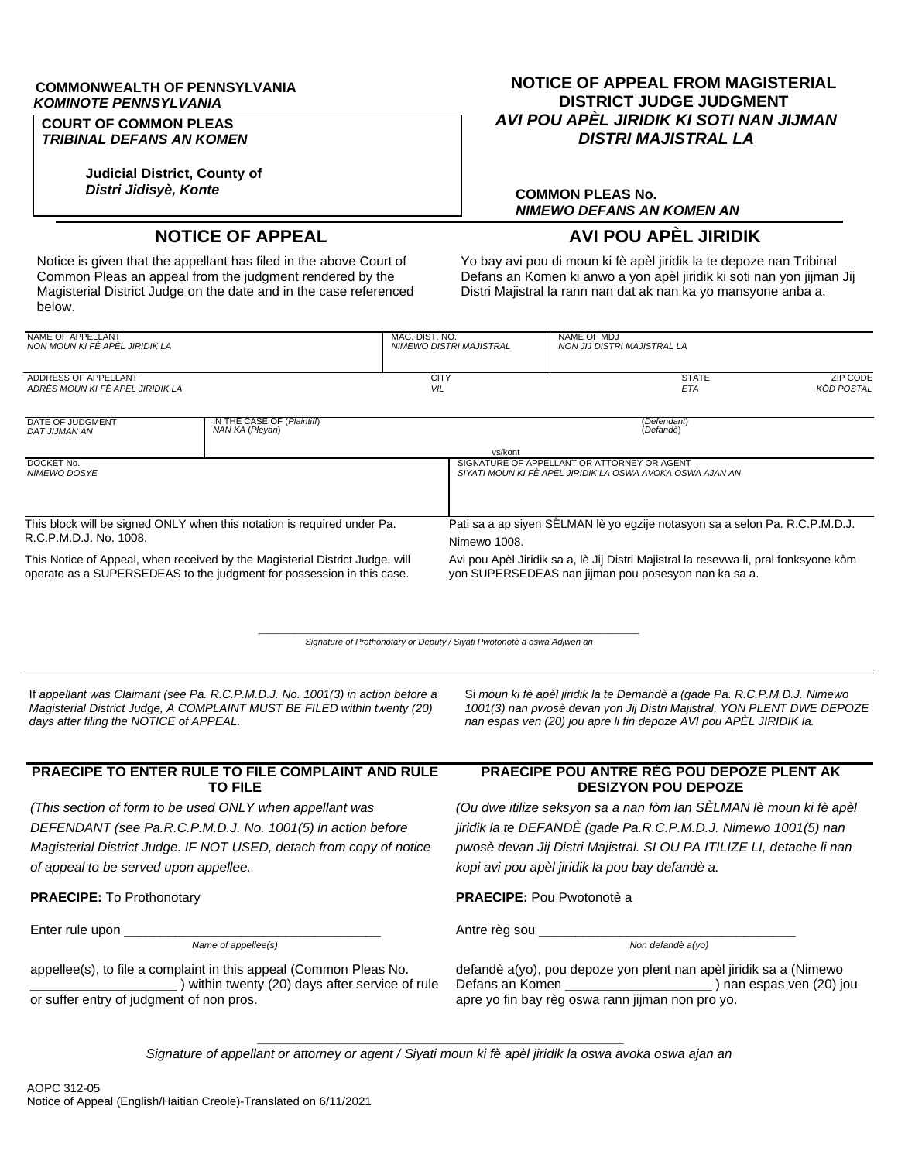#### **COMMONWEALTH OF PENNSYLVANIA** *KOMINOTE PENNSYLVANIA*

### **COURT OF COMMON PLEAS** *TRIBINAL DEFANS AN KOMEN*

**Judicial District, County of** *Distri Jidisyè, Konte*

# **NOTICE OF APPEAL FROM MAGISTERIAL DISTRICT JUDGE JUDGMENT** *AVI POU APÈL JIRIDIK KI SOTI NAN JIJMAN DISTRI MAJISTRAL LA*

## **COMMON PLEAS No.** *NIMEWO DEFANS AN KOMEN AN*

# **NOTICE OF APPEAL AVI POU APÈL JIRIDIK**

Notice is given that the appellant has filed in the above Court of Common Pleas an appeal from the judgment rendered by the Magisterial District Judge on the date and in the case referenced below.

Yo bay avi pou di moun ki fè apèl jiridik la te depoze nan Tribinal Defans an Komen ki anwo a yon apèl jiridik ki soti nan yon jijman Jij Distri Majistral la rann nan dat ak nan ka yo mansyone anba a.

| NAME OF APPELLANT<br>NON MOUN KI FÈ APÈL JIRIDIK LA                                                                                                   |                                               | MAG. DIST. NO.<br>NIMEWO DISTRI MAJISTRAL | NAME OF MDJ<br>NON JIJ DISTRI MAJISTRAL LA                                                                                                   |                               |  |  |
|-------------------------------------------------------------------------------------------------------------------------------------------------------|-----------------------------------------------|-------------------------------------------|----------------------------------------------------------------------------------------------------------------------------------------------|-------------------------------|--|--|
| ADDRESS OF APPELLANT<br>ADRÈS MOUN KI FÈ APÈL JIRIDIK LA                                                                                              |                                               | <b>CITY</b><br>VIL                        | <b>STATE</b><br>ETA                                                                                                                          | ZIP CODE<br><b>KOD POSTAL</b> |  |  |
| DATE OF JUDGMENT<br>DAT JIJMAN AN                                                                                                                     | IN THE CASE OF (Plaintiff)<br>NAN KA (Pleyan) | (Defendant)<br>(Defandè)                  |                                                                                                                                              |                               |  |  |
| DOCKET No.<br><b>NIMEWO DOSYE</b>                                                                                                                     |                                               | vs/kont                                   | SIGNATURE OF APPELLANT OR ATTORNEY OR AGENT<br>SIYATI MOUN KI FÊ APÊL JIRIDIK LA OSWA AVOKA OSWA AJAN AN                                     |                               |  |  |
| This block will be signed ONLY when this notation is required under Pa.<br>R.C.P.M.D.J. No. 1008.                                                     |                                               | Nimewo 1008.                              | Pati sa a ap siyen SELMAN lè yo egzije notasyon sa a selon Pa. R.C.P.M.D.J.                                                                  |                               |  |  |
| This Notice of Appeal, when received by the Magisterial District Judge, will<br>operate as a SUPERSEDEAS to the judgment for possession in this case. |                                               |                                           | Avi pou Apèl Jiridik sa a, lè Jij Distri Majistral la resevwa li, pral fonksyone kòm<br>yon SUPERSEDEAS nan jijman pou posesyon nan ka sa a. |                               |  |  |

 $\_$  , and the set of the set of the set of the set of the set of the set of the set of the set of the set of the set of the set of the set of the set of the set of the set of the set of the set of the set of the set of th *Signature of Prothonotary or Deputy / Siyati Pwotonotè a oswa Adjwen an*

If *appellant was Claimant (see Pa. R.C.P.M.D.J. No. 1001(3) in action before a Magisterial District Judge, A COMPLAINT MUST BE FILED within twenty (20) days after filing the NOTICE of APPEAL.*

#### **PRAECIPE TO ENTER RULE TO FILE COMPLAINT AND RULE TO FILE**

*(This section of form to be used ONLY when appellant was DEFENDANT (see Pa.R.C.P.M.D.J. No. 1001(5) in action before Magisterial District Judge. IF NOT USED, detach from copy of notice of appeal to be served upon appellee.*

Enter rule upon \_\_\_\_\_\_\_\_\_\_\_\_\_\_\_\_\_\_\_\_\_\_\_\_\_\_\_\_\_\_\_\_\_\_\_ Antre règ sou \_\_\_\_\_\_\_\_\_\_\_\_\_\_\_\_\_\_\_\_\_\_\_\_\_\_\_\_\_\_\_\_\_\_\_

*Name of appellee(s) Non defandè a(yo)*

appellee(s), to file a complaint in this appeal (Common Pleas No. \_\_\_\_\_\_\_\_\_\_\_\_\_\_\_\_\_\_\_\_ ) within twenty (20) days after service of rule or suffer entry of judgment of non pros.

#### Si *moun ki fè apèl jiridik la te Demandè a (gade Pa. R.C.P.M.D.J. Nimewo 1001(3) nan pwosè devan yon Jij Distri Majistral, YON PLENT DWE DEPOZE nan espas ven (20) jou apre li fin depoze AVI pou APÈL JIRIDIK la.*

## **PRAECIPE POU ANTRE RÈG POU DEPOZE PLENT AK DESIZYON POU DEPOZE**

*(Ou dwe itilize seksyon sa a nan fòm lan SÈLMAN lè moun ki fè apèl jiridik la te DEFANDÈ (gade Pa.R.C.P.M.D.J. Nimewo 1001(5) nan pwosè devan Jij Distri Majistral. SI OU PA ITILIZE LI, detache li nan kopi avi pou apèl jiridik la pou bay defandè a.*

## **PRAECIPE:** To Prothonotary **PRAECIPE:** Pou Pwotonotè a

defandè a(yo), pou depoze yon plent nan apèl jiridik sa a (Nimewo  $\overline{-}$ ) nan espas ven (20) jou apre yo fin bay règ oswa rann jijman non pro yo.

**\_\_\_\_\_\_\_\_\_\_\_\_\_\_\_\_\_\_\_\_\_\_\_\_\_\_\_\_\_\_\_\_\_\_\_\_\_\_\_\_\_\_\_\_\_\_\_\_\_\_** *Signature of appellant or attorney or agent / Siyati moun ki fè apèl jiridik la oswa avoka oswa ajan an*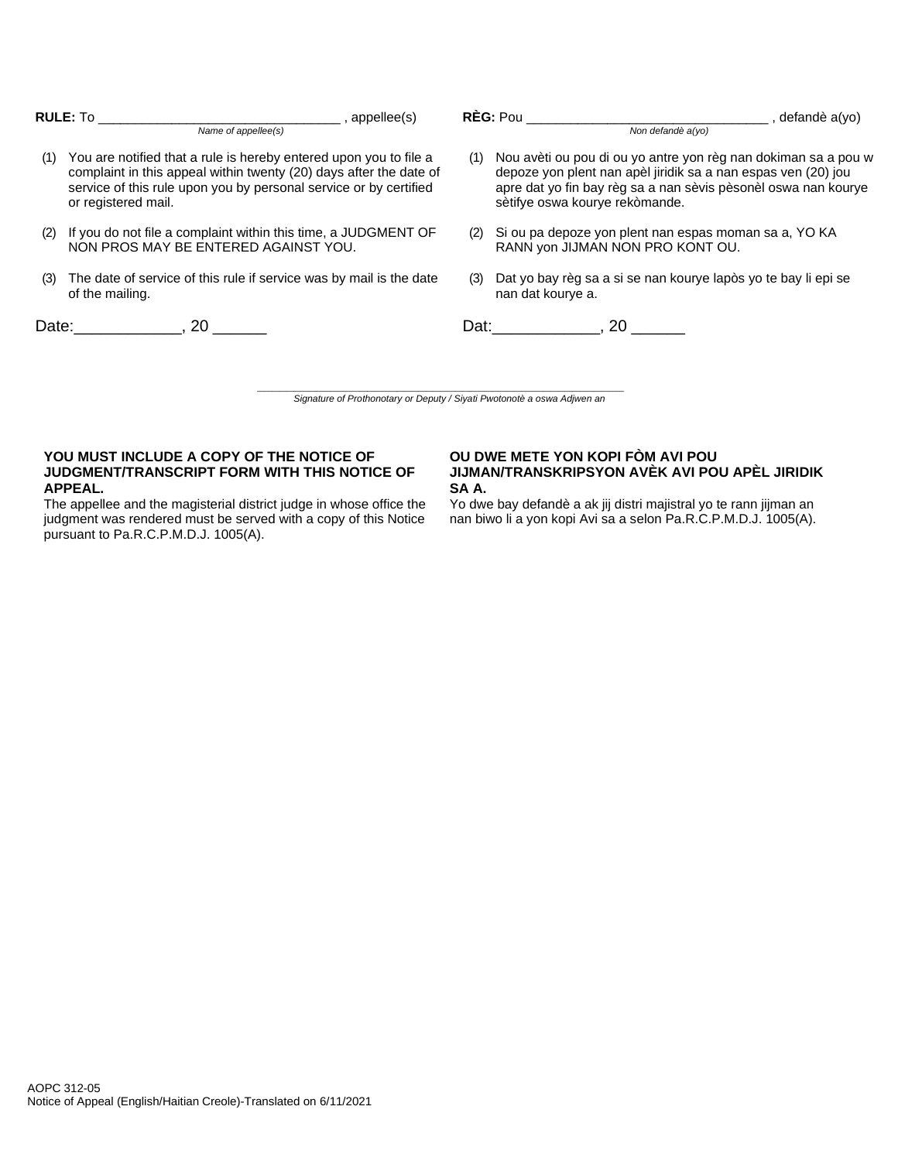|     | <b>RULE:</b> To and the set of the set of the set of the set of the set of the set of the set of the set of the set of the set of the set of the set of the set of the set of the set of the set of the set of the set of the set o<br>Name of appellee(s) | , appellee(s) |     | Non defandè a(yo)                                                                                                                                                                                                                   | defandè a(yo) |
|-----|------------------------------------------------------------------------------------------------------------------------------------------------------------------------------------------------------------------------------------------------------------|---------------|-----|-------------------------------------------------------------------------------------------------------------------------------------------------------------------------------------------------------------------------------------|---------------|
| (1) | You are notified that a rule is hereby entered upon you to file a<br>complaint in this appeal within twenty (20) days after the date of<br>service of this rule upon you by personal service or by certified<br>or registered mail.                        |               | (1) | Nou avèti ou pou di ou yo antre yon règ nan dokiman sa a pou w<br>depoze yon plent nan apèl jiridik sa a nan espas ven (20) jou<br>apre dat yo fin bay règ sa a nan sèvis pèsonèl oswa nan kourye<br>sètifye oswa kourye rekòmande. |               |
| (2) | If you do not file a complaint within this time, a JUDGMENT OF<br>NON PROS MAY BE ENTERED AGAINST YOU.                                                                                                                                                     |               | (2) | Si ou pa depoze yon plent nan espas moman sa a, YO KA<br>RANN yon JIJMAN NON PRO KONT OU.                                                                                                                                           |               |
| (3) | The date of service of this rule if service was by mail is the date<br>of the mailing.                                                                                                                                                                     |               | (3) | Dat yo bay règ sa a si se nan kourye lapòs yo te bay li epi se<br>nan dat kourye a.                                                                                                                                                 |               |
|     | Date: 20                                                                                                                                                                                                                                                   |               |     | Dat: 20                                                                                                                                                                                                                             |               |
|     |                                                                                                                                                                                                                                                            |               |     |                                                                                                                                                                                                                                     |               |

**\_\_\_\_\_\_\_\_\_\_\_\_\_\_\_\_\_\_\_\_\_\_\_\_\_\_\_\_\_\_\_\_\_\_\_\_\_\_\_\_\_\_\_\_\_\_\_\_\_\_** *Signature of Prothonotary or Deputy / Siyati Pwotonotè a oswa Adjwen an*

## **YOU MUST INCLUDE A COPY OF THE NOTICE OF JUDGMENT/TRANSCRIPT FORM WITH THIS NOTICE OF APPEAL.**

The appellee and the magisterial district judge in whose office the judgment was rendered must be served with a copy of this Notice pursuant to Pa.R.C.P.M.D.J. 1005(A).

#### **OU DWE METE YON KOPI FÒM AVI POU JIJMAN/TRANSKRIPSYON AVÈK AVI POU APÈL JIRIDIK SA A.**

Yo dwe bay defandè a ak jij distri majistral yo te rann jijman an nan biwo li a yon kopi Avi sa a selon Pa.R.C.P.M.D.J. 1005(A).